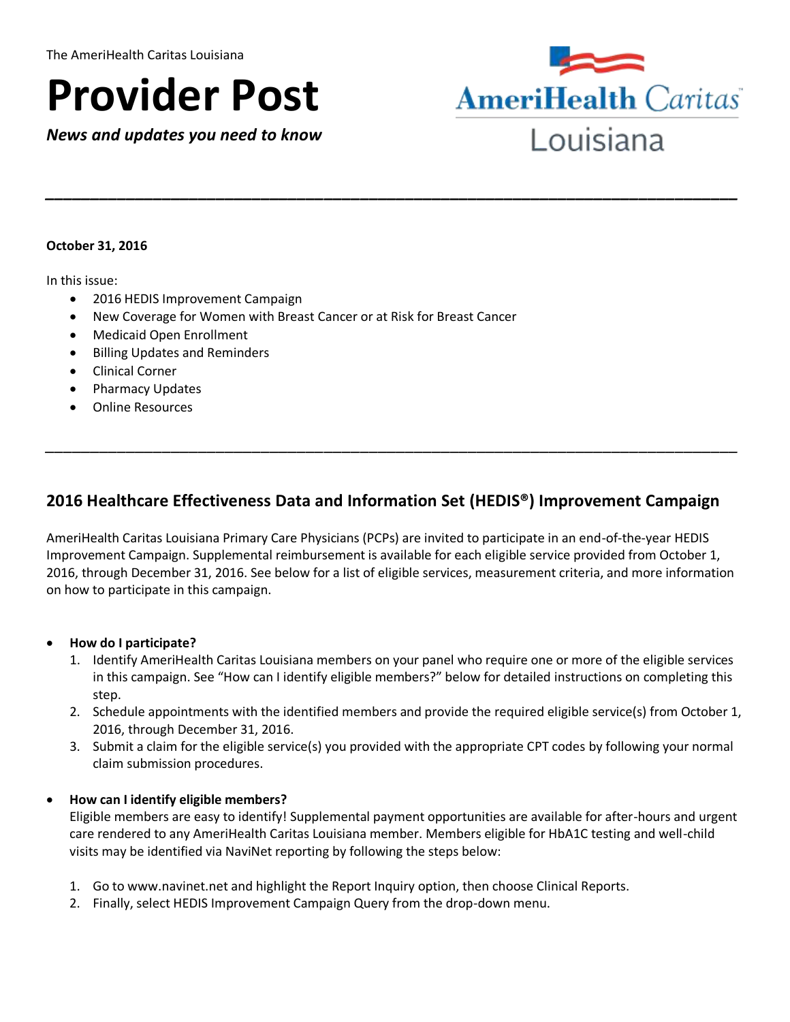# **Provider Post**

 *News and updates you need to know* 



#### **October 31, 2016**

In this issue:

- 2016 HEDIS Improvement Campaign
- New Coverage for Women with Breast Cancer or at Risk for Breast Cancer
- Medicaid Open Enrollment
- **•** Billing Updates and Reminders
- Clinical Corner
- Pharmacy Updates
- Online Resources

# **2016 Healthcare Effectiveness Data and Information Set (HEDIS®) Improvement Campaign**

*\_\_\_\_\_\_\_\_\_\_\_\_\_\_\_\_\_\_\_\_\_\_\_\_\_\_\_\_\_\_\_\_\_\_\_\_\_\_\_\_\_\_\_\_\_\_\_\_\_\_\_\_\_\_\_\_\_\_\_\_\_\_\_\_\_\_\_\_\_\_\_\_\_\_\_\_\_* 

*\_\_\_\_\_\_\_\_\_\_\_\_\_\_\_\_\_\_\_\_\_\_\_\_\_\_\_\_\_\_\_\_\_\_\_\_\_\_\_\_\_\_\_\_\_\_\_\_\_\_\_\_\_\_\_\_\_\_\_\_\_\_\_\_\_\_\_\_\_\_\_\_\_\_\_\_\_* 

 AmeriHealth Caritas Louisiana Primary Care Physicians (PCPs) are invited to participate in an end-of-the-year HEDIS Improvement Campaign. Supplemental reimbursement is available for each eligible service provided from October 1, 2016, through December 31, 2016. See below for a list of eligible services, measurement criteria, and more information on how to participate in this campaign.

#### **How do I participate?**

- 1. Identify AmeriHealth Caritas Louisiana members on your panel who require one or more of the eligible services in this campaign. See "How can I identify eligible members?" below for detailed instructions on completing this
- step. 2. Schedule appointments with the identified members and provide the required eligible service(s) from October 1, 2016, through December 31, 2016.
- 3. Submit a claim for the eligible service(s) you provided with the appropriate CPT codes by following your normal claim submission procedures.

#### **How can I identify eligible members?**

 Eligible members are easy to identify! Supplemental payment opportunities are available for after-hours and urgent care rendered to any AmeriHealth Caritas Louisiana member. Members eligible for HbA1C testing and well-child visits may be identified via NaviNet reporting by following the steps below:

- 1. Go to<www.navinet.net>and highlight the Report Inquiry option, then choose Clinical Reports.
- 2. Finally, select HEDIS Improvement Campaign Query from the drop-down menu.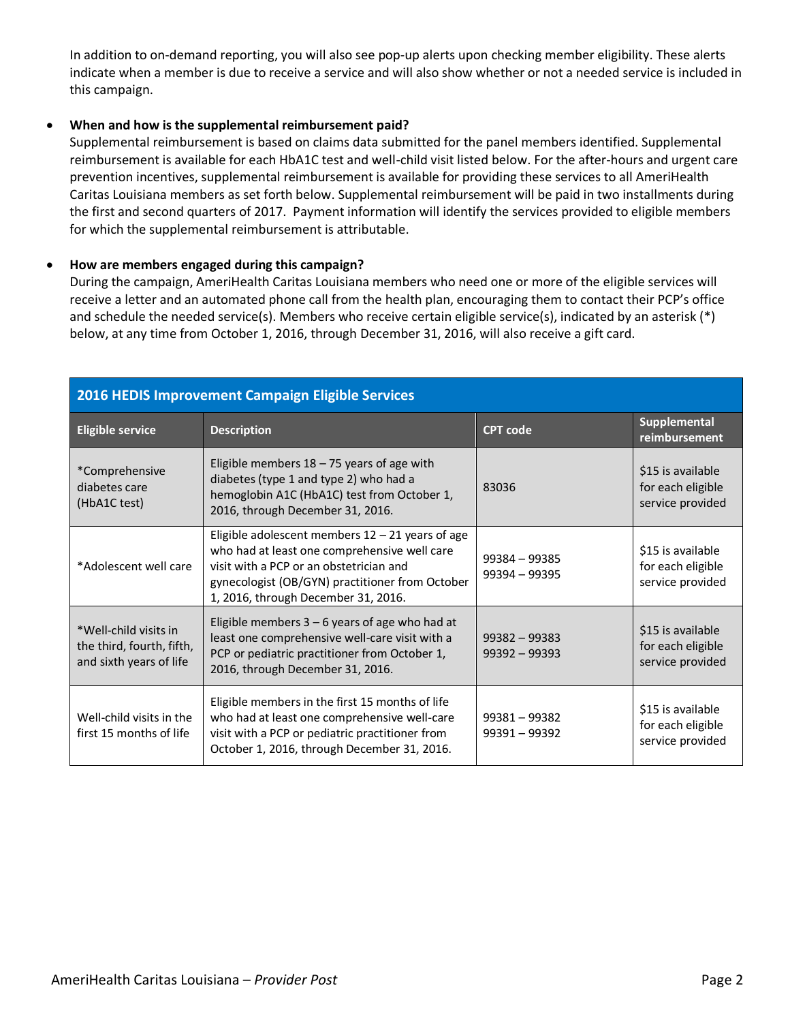In addition to on-demand reporting, you will also see pop-up alerts upon checking member eligibility. These alerts indicate when a member is due to receive a service and will also show whether or not a needed service is included in this campaign.

#### **When and how is the supplemental reimbursement paid?**

 Supplemental reimbursement is based on claims data submitted for the panel members identified. Supplemental reimbursement is available for each HbA1C test and well-child visit listed below. For the after-hours and urgent care prevention incentives, supplemental reimbursement is available for providing these services to all AmeriHealth Caritas Louisiana members as set forth below. Supplemental reimbursement will be paid in two installments during the first and second quarters of 2017. Payment information will identify the services provided to eligible members for which the supplemental reimbursement is attributable.

#### **How are members engaged during this campaign?**

 During the campaign, AmeriHealth Caritas Louisiana members who need one or more of the eligible services will receive a letter and an automated phone call from the health plan, encouraging them to contact their PCP's office and schedule the needed service(s). Members who receive certain eligible service(s), indicated by an asterisk (\*) below, at any time from October 1, 2016, through December 31, 2016, will also receive a gift card.

| 2016 HEDIS Improvement Campaign Eligible Services                             |                                                                                                                                                                                                                                         |                                    |                                                            |  |
|-------------------------------------------------------------------------------|-----------------------------------------------------------------------------------------------------------------------------------------------------------------------------------------------------------------------------------------|------------------------------------|------------------------------------------------------------|--|
| <b>Eligible service</b>                                                       | <b>Description</b>                                                                                                                                                                                                                      | <b>CPT</b> code                    | <b>Supplemental</b><br>reimbursement                       |  |
| *Comprehensive<br>diabetes care<br>(HbA1C test)                               | Eligible members $18 - 75$ years of age with<br>diabetes (type 1 and type 2) who had a<br>hemoglobin A1C (HbA1C) test from October 1,<br>2016, through December 31, 2016.                                                               | 83036                              | \$15 is available<br>for each eligible<br>service provided |  |
| *Adolescent well care                                                         | Eligible adolescent members $12 - 21$ years of age<br>who had at least one comprehensive well care<br>visit with a PCP or an obstetrician and<br>gynecologist (OB/GYN) practitioner from October<br>1, 2016, through December 31, 2016. | $99384 - 99385$<br>$99394 - 99395$ | \$15 is available<br>for each eligible<br>service provided |  |
| *Well-child visits in<br>the third, fourth, fifth,<br>and sixth years of life | Eligible members $3 - 6$ years of age who had at<br>least one comprehensive well-care visit with a<br>PCP or pediatric practitioner from October 1,<br>2016, through December 31, 2016.                                                 | $99382 - 99383$<br>$99392 - 99393$ | \$15 is available<br>for each eligible<br>service provided |  |
| Well-child visits in the<br>first 15 months of life                           | Eligible members in the first 15 months of life<br>who had at least one comprehensive well-care<br>visit with a PCP or pediatric practitioner from<br>October 1, 2016, through December 31, 2016.                                       | $99381 - 99382$<br>99391 - 99392   | \$15 is available<br>for each eligible<br>service provided |  |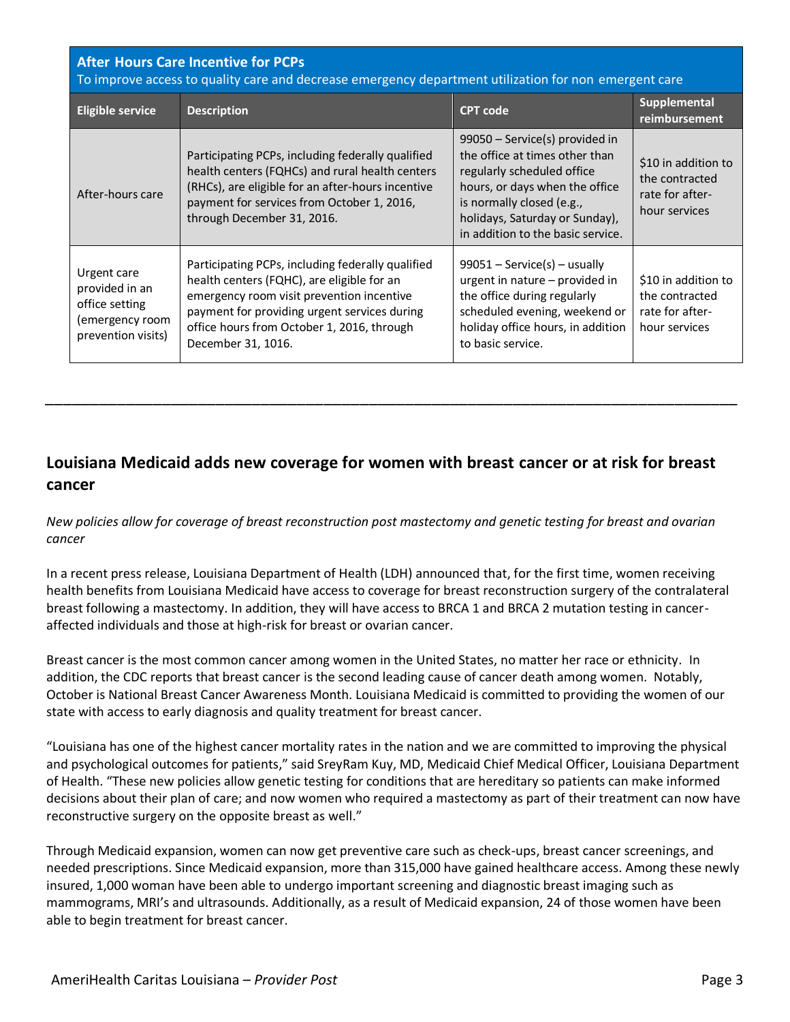| <b>After Hours Care Incentive for PCPs</b><br>To improve access to quality care and decrease emergency department utilization for non emergent care |                                                                                                                                                                                                                                                                  |                                                                                                                                                                                                                                      |                                                                           |  |
|-----------------------------------------------------------------------------------------------------------------------------------------------------|------------------------------------------------------------------------------------------------------------------------------------------------------------------------------------------------------------------------------------------------------------------|--------------------------------------------------------------------------------------------------------------------------------------------------------------------------------------------------------------------------------------|---------------------------------------------------------------------------|--|
| <b>Eligible service</b>                                                                                                                             | <b>Description</b>                                                                                                                                                                                                                                               | <b>CPT</b> code                                                                                                                                                                                                                      | <b>Supplemental</b><br>reimbursement                                      |  |
| After-hours care                                                                                                                                    | Participating PCPs, including federally qualified<br>health centers (FQHCs) and rural health centers<br>(RHCs), are eligible for an after-hours incentive<br>payment for services from October 1, 2016,<br>through December 31, 2016.                            | 99050 - Service(s) provided in<br>the office at times other than<br>regularly scheduled office<br>hours, or days when the office<br>is normally closed (e.g.,<br>holidays, Saturday or Sunday),<br>in addition to the basic service. | \$10 in addition to<br>the contracted<br>rate for after-<br>hour services |  |
| Urgent care<br>provided in an<br>office setting<br>(emergency room<br>prevention visits)                                                            | Participating PCPs, including federally qualified<br>health centers (FQHC), are eligible for an<br>emergency room visit prevention incentive<br>payment for providing urgent services during<br>office hours from October 1, 2016, through<br>December 31, 1016. | $99051 -$ Service(s) – usually<br>urgent in nature – provided in<br>the office during regularly<br>scheduled evening, weekend or<br>holiday office hours, in addition<br>to basic service.                                           | \$10 in addition to<br>the contracted<br>rate for after-<br>hour services |  |

# **Louisiana Medicaid adds new coverage for women with breast cancer or at risk for breast cancer**

*\_\_\_\_\_\_\_\_\_\_\_\_\_\_\_\_\_\_\_\_\_\_\_\_\_\_\_\_\_\_\_\_\_\_\_\_\_\_\_\_\_\_\_\_\_\_\_\_\_\_\_\_\_\_\_\_\_\_\_\_\_\_\_\_\_\_\_\_\_\_\_\_\_\_\_\_\_* 

 *New policies allow for coverage of breast reconstruction post mastectomy and genetic testing for breast and ovarian cancer* 

 In a recent press release, Louisiana Department of Health (LDH) announced that, for the first time, women receiving health benefits from Louisiana Medicaid have access to coverage for breast reconstruction surgery of the contralateral breast following a mastectomy. In addition, they will have access to BRCA 1 and BRCA 2 mutation testing in cancer-affected individuals and those at high-risk for breast or ovarian cancer.

 Breast cancer is the most common cancer among women in the United States, no matter her race or ethnicity. In addition, the CDC reports that breast cancer is the second leading cause of cancer death among women. Notably, October is National Breast Cancer Awareness Month. Louisiana Medicaid is committed to providing the women of our state with access to early diagnosis and quality treatment for breast cancer.

 "Louisiana has one of the highest cancer mortality rates in the nation and we are committed to improving the physical and psychological outcomes for patients," said SreyRam Kuy, MD, Medicaid Chief Medical Officer, Louisiana Department of Health. "These new policies allow genetic testing for conditions that are hereditary so patients can make informed decisions about their plan of care; and now women who required a mastectomy as part of their treatment can now have reconstructive surgery on the opposite breast as well."

 Through Medicaid expansion, women can now get preventive care such as check-ups, breast cancer screenings, and needed prescriptions. Since Medicaid expansion, more than 315,000 have gained healthcare access. Among these newly insured, 1,000 woman have been able to undergo important screening and diagnostic breast imaging such as mammograms, MRI's and ultrasounds. Additionally, as a result of Medicaid expansion, 24 of those women have been able to begin treatment for breast cancer.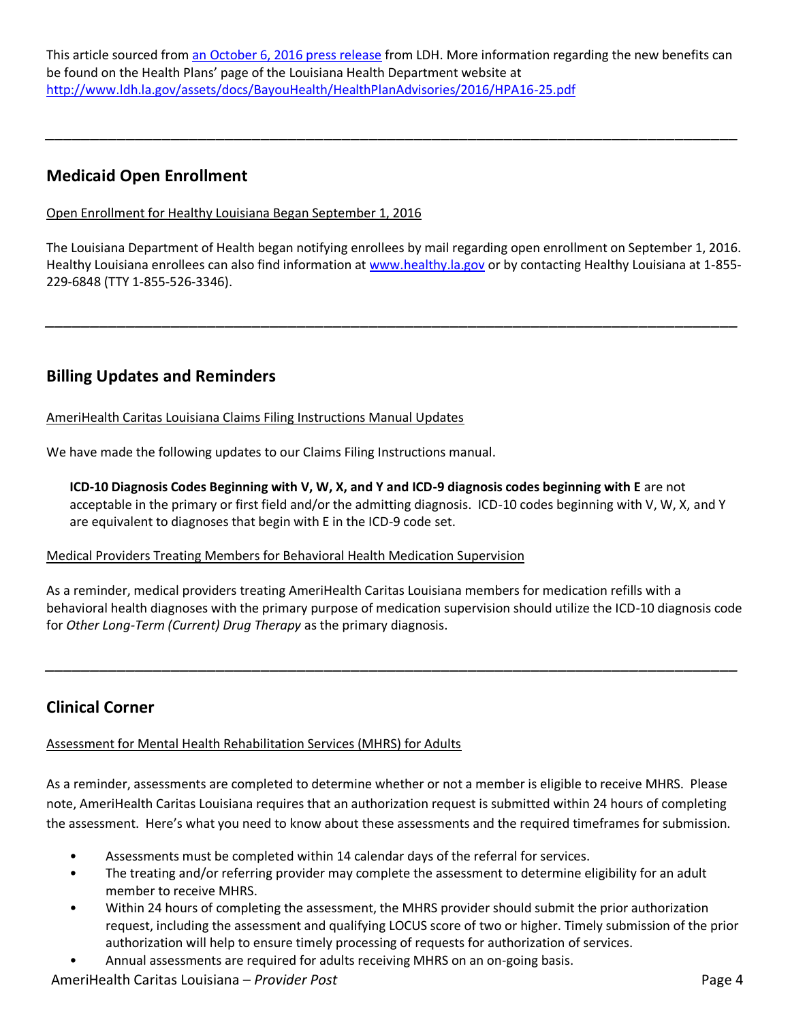This article sourced from [an October 6, 2016 press release](http://www.ldh.la.gov/index.cfm/newsroom/detail/4015) from LDH. More information regarding the new benefits can be found on the Health Plans' page of the Louisiana Health Department website at <http://www.ldh.la.gov/assets/docs/BayouHealth/HealthPlanAdvisories/2016/HPA16-25.pdf>

*\_\_\_\_\_\_\_\_\_\_\_\_\_\_\_\_\_\_\_\_\_\_\_\_\_\_\_\_\_\_\_\_\_\_\_\_\_\_\_\_\_\_\_\_\_\_\_\_\_\_\_\_\_\_\_\_\_\_\_\_\_\_\_\_\_\_\_\_\_\_\_\_\_\_\_\_\_* 

## **Medicaid Open Enrollment**

#### Open Enrollment for Healthy Louisiana Began September 1, 2016

 The Louisiana Department of Health began notifying enrollees by mail regarding open enrollment on September 1, 2016. Healthy Louisiana enrollees can also find information at [www.healthy.la.gov](http://www.healthy.la.gov/) or by contacting Healthy Louisiana at 1-855-229-6848 (TTY 1-855-526-3346).

*\_\_\_\_\_\_\_\_\_\_\_\_\_\_\_\_\_\_\_\_\_\_\_\_\_\_\_\_\_\_\_\_\_\_\_\_\_\_\_\_\_\_\_\_\_\_\_\_\_\_\_\_\_\_\_\_\_\_\_\_\_\_\_\_\_\_\_\_\_\_\_\_\_\_\_\_\_* 

# **Billing Updates and Reminders**

AmeriHealth Caritas Louisiana Claims Filing Instructions Manual Updates

We have made the following updates to our Claims Filing Instructions manual.

 **ICD-10 Diagnosis Codes Beginning with V, W, X, and Y and ICD-9 diagnosis codes beginning with E** are not acceptable in the primary or first field and/or the admitting diagnosis. ICD-10 codes beginning with V, W, X, and Y are equivalent to diagnoses that begin with E in the ICD-9 code set.

#### Medical Providers Treating Members for Behavioral Health Medication Supervision

 As a reminder, medical providers treating AmeriHealth Caritas Louisiana members for medication refills with a behavioral health diagnoses with the primary purpose of medication supervision should utilize the ICD-10 diagnosis code  for *Other Long-Term (Current) Drug Therapy* as the primary diagnosis.

*\_\_\_\_\_\_\_\_\_\_\_\_\_\_\_\_\_\_\_\_\_\_\_\_\_\_\_\_\_\_\_\_\_\_\_\_\_\_\_\_\_\_\_\_\_\_\_\_\_\_\_\_\_\_\_\_\_\_\_\_\_\_\_\_\_\_\_\_\_\_\_\_\_\_\_\_\_* 

## **Clinical Corner**

Assessment for Mental Health Rehabilitation Services (MHRS) for Adults

 As a reminder, assessments are completed to determine whether or not a member is eligible to receive MHRS. Please note, AmeriHealth Caritas Louisiana requires that an authorization request is submitted within 24 hours of completing the assessment. Here's what you need to know about these assessments and the required timeframes for submission.

- Assessments must be completed within 14 calendar days of the referral for services.
- • The treating and/or referring provider may complete the assessment to determine eligibility for an adult member to receive MHRS.
- • Within 24 hours of completing the assessment, the MHRS provider should submit the prior authorization request, including the assessment and qualifying LOCUS score of two or higher. Timely submission of the prior authorization will help to ensure timely processing of requests for authorization of services.
- Annual assessments are required for adults receiving MHRS on an on-going basis.

#### AmeriHealth Caritas Louisiana – *Provider Post* Page 4